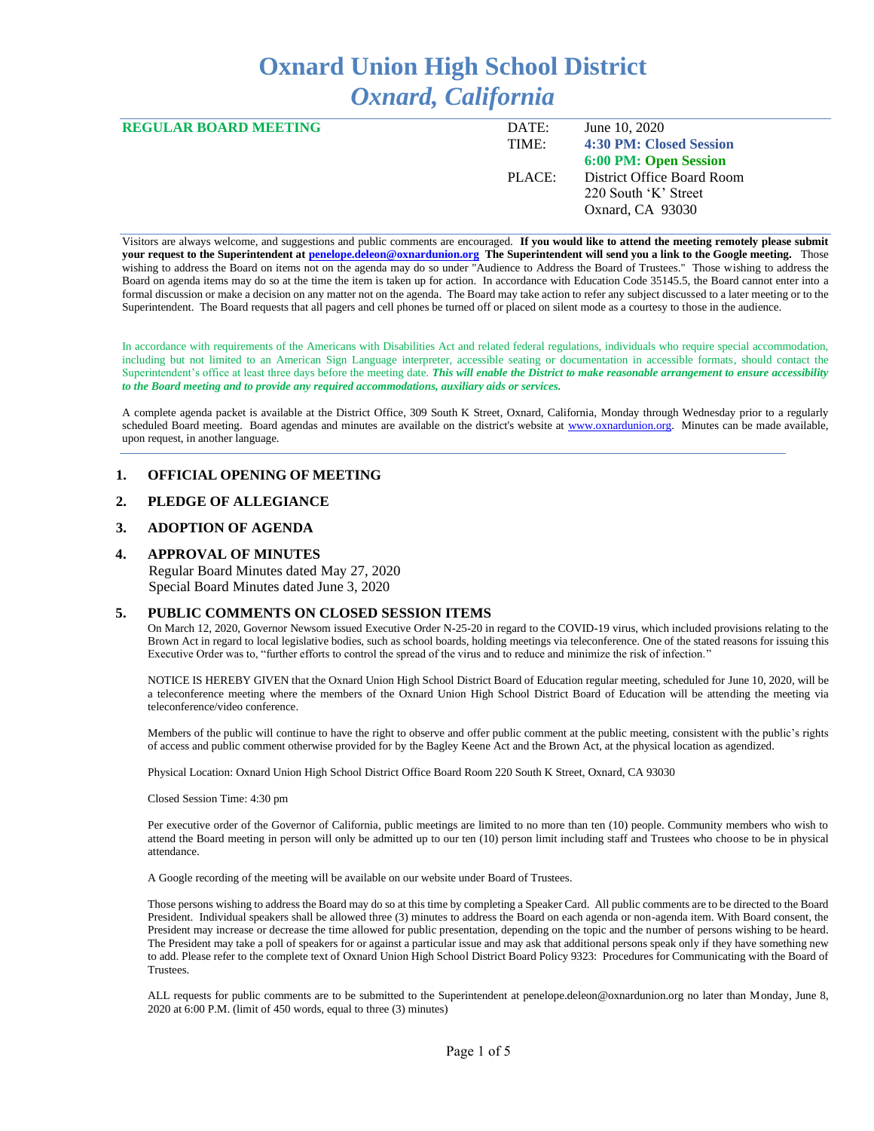# **Oxnard Union High School District** *Oxnard, California*

| <b>REGULAR BOARD MEETING</b> | DATE:  | June 10, 2020              |
|------------------------------|--------|----------------------------|
|                              | TIME:  | 4:30 PM: Closed Session    |
|                              |        | 6:00 PM: Open Session      |
|                              | PLACE: | District Office Board Room |
|                              |        | 220 South 'K' Street       |
|                              |        | Oxnard, CA 93030           |
|                              |        |                            |

Visitors are always welcome, and suggestions and public comments are encouraged. **If you would like to attend the meeting remotely please submit your request to the Superintendent a[t penelope.deleon@oxnardunion.org](mailto:penelope.deleon@oxnardunion.org) The Superintendent will send you a link to the Google meeting.** Those wishing to address the Board on items not on the agenda may do so under "Audience to Address the Board of Trustees." Those wishing to address the Board on agenda items may do so at the time the item is taken up for action. In accordance with Education Code 35145.5, the Board cannot enter into a formal discussion or make a decision on any matter not on the agenda. The Board may take action to refer any subject discussed to a later meeting or to the Superintendent. The Board requests that all pagers and cell phones be turned off or placed on silent mode as a courtesy to those in the audience.

In accordance with requirements of the Americans with Disabilities Act and related federal regulations, individuals who require special accommodation, including but not limited to an American Sign Language interpreter, accessible seating or documentation in accessible formats, should contact the Superintendent's office at least three days before the meeting date. *This will enable the District to make reasonable arrangement to ensure accessibility to the Board meeting and to provide any required accommodations, auxiliary aids or services.* 

A complete agenda packet is available at the District Office, 309 South K Street, Oxnard, California, Monday through Wednesday prior to a regularly scheduled Board meeting. Board agendas and minutes are available on the district's website at [www.ox](http://www.o/)nardunion.org.Minutes can be made available, upon request, in another language.

## **1. OFFICIAL OPENING OF MEETING**

#### **2. PLEDGE OF ALLEGIANCE**

#### **3. ADOPTION OF AGENDA**

#### **4. APPROVAL OF MINUTES**

 Regular Board Minutes dated May 27, 2020 Special Board Minutes dated June 3, 2020

#### **5. PUBLIC COMMENTS ON CLOSED SESSION ITEMS**

On March 12, 2020, Governor Newsom issued Executive Order N-25-20 in regard to the COVID-19 virus, which included provisions relating to the Brown Act in regard to local legislative bodies, such as school boards, holding meetings via teleconference. One of the stated reasons for issuing this Executive Order was to, "further efforts to control the spread of the virus and to reduce and minimize the risk of infection."

NOTICE IS HEREBY GIVEN that the Oxnard Union High School District Board of Education regular meeting, scheduled for June 10, 2020, will be a teleconference meeting where the members of the Oxnard Union High School District Board of Education will be attending the meeting via teleconference/video conference.

Members of the public will continue to have the right to observe and offer public comment at the public meeting, consistent with the public's rights of access and public comment otherwise provided for by the Bagley Keene Act and the Brown Act, at the physical location as agendized.

Physical Location: Oxnard Union High School District Office Board Room 220 South K Street, Oxnard, CA 93030

Closed Session Time: 4:30 pm

Per executive order of the Governor of California, public meetings are limited to no more than ten (10) people. Community members who wish to attend the Board meeting in person will only be admitted up to our ten (10) person limit including staff and Trustees who choose to be in physical attendance.

A Google recording of the meeting will be available on our website under Board of Trustees.

Those persons wishing to address the Board may do so at this time by completing a Speaker Card. All public comments are to be directed to the Board President. Individual speakers shall be allowed three (3) minutes to address the Board on each agenda or non-agenda item. With Board consent, the President may increase or decrease the time allowed for public presentation, depending on the topic and the number of persons wishing to be heard. The President may take a poll of speakers for or against a particular issue and may ask that additional persons speak only if they have something new to add. Please refer to the complete text of Oxnard Union High School District Board Policy 9323: Procedures for Communicating with the Board of Trustees.

ALL requests for public comments are to be submitted to the Superintendent at penelope.deleon@oxnardunion.org no later than Monday, June 8, 2020 at 6:00 P.M. (limit of 450 words, equal to three (3) minutes)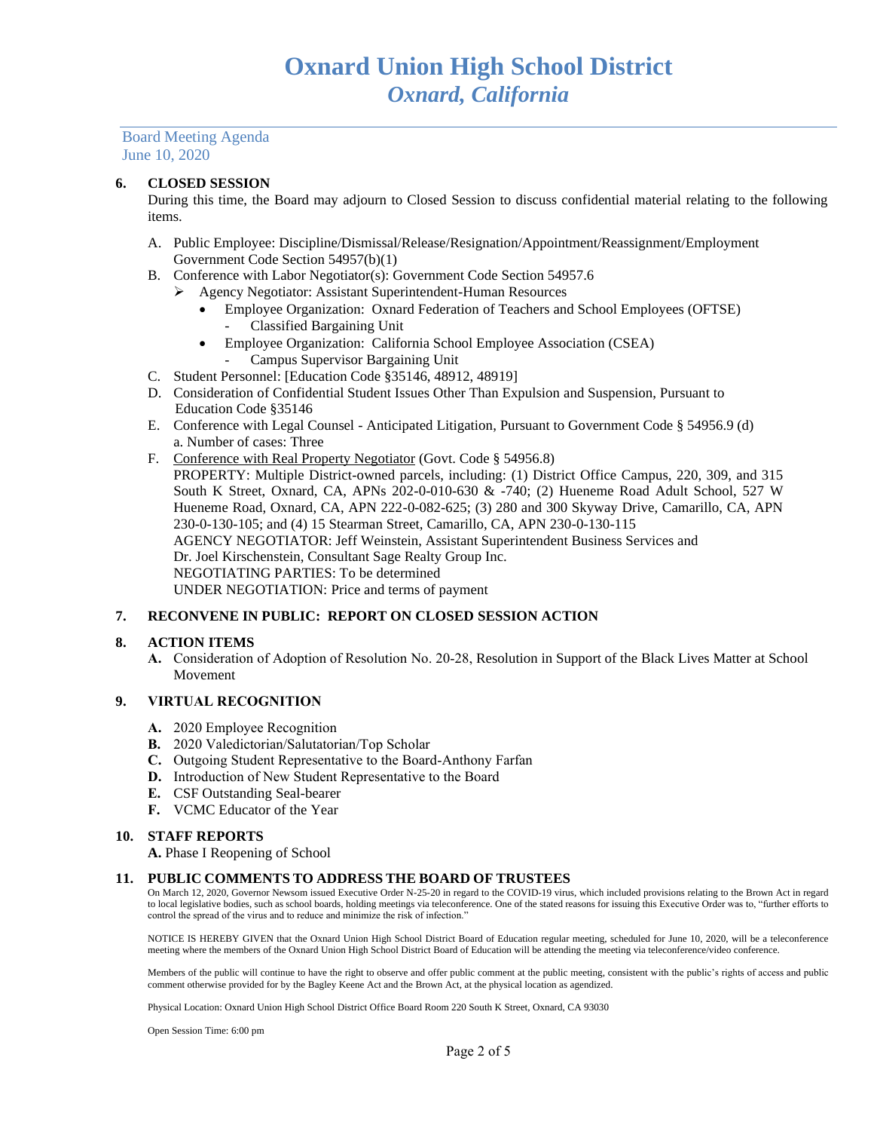#### **6. CLOSED SESSION**

During this time, the Board may adjourn to Closed Session to discuss confidential material relating to the following items.

- A. Public Employee: Discipline/Dismissal/Release/Resignation/Appointment/Reassignment/Employment Government Code Section 54957(b)(1)
- B. Conference with Labor Negotiator(s): Government Code Section 54957.6
	- ➢ Agency Negotiator: Assistant Superintendent-Human Resources
		- Employee Organization: Oxnard Federation of Teachers and School Employees (OFTSE) - Classified Bargaining Unit
		- Employee Organization: California School Employee Association (CSEA)
			- Campus Supervisor Bargaining Unit
- C. Student Personnel: [Education Code §35146, 48912, 48919]
- D. Consideration of Confidential Student Issues Other Than Expulsion and Suspension, Pursuant to Education Code §35146
- E. Conference with Legal Counsel Anticipated Litigation, Pursuant to Government Code § 54956.9 (d) a. Number of cases: Three
- F. Conference with Real Property Negotiator (Govt. Code § 54956.8) PROPERTY: Multiple District-owned parcels, including: (1) District Office Campus, 220, 309, and 315 South K Street, Oxnard, CA, APNs 202-0-010-630 & -740; (2) Hueneme Road Adult School, 527 W Hueneme Road, Oxnard, CA, APN 222-0-082-625; (3) 280 and 300 Skyway Drive, Camarillo, CA, APN 230-0-130-105; and (4) 15 Stearman Street, Camarillo, CA, APN 230-0-130-115 AGENCY NEGOTIATOR: Jeff Weinstein, Assistant Superintendent Business Services and Dr. Joel Kirschenstein, Consultant Sage Realty Group Inc. NEGOTIATING PARTIES: To be determined UNDER NEGOTIATION: Price and terms of payment

## **7. RECONVENE IN PUBLIC: REPORT ON CLOSED SESSION ACTION**

#### **8. ACTION ITEMS**

**A.** Consideration of Adoption of Resolution No. 20-28, Resolution in Support of the Black Lives Matter at School Movement

## **9. VIRTUAL RECOGNITION**

- **A.** 2020 Employee Recognition
- **B.** 2020 Valedictorian/Salutatorian/Top Scholar
- **C.** Outgoing Student Representative to the Board-Anthony Farfan
- **D.** Introduction of New Student Representative to the Board
- **E.** CSF Outstanding Seal-bearer
- **F.** VCMC Educator of the Year

#### **10. STAFF REPORTS**

**A.** Phase I Reopening of School

#### **11. PUBLIC COMMENTS TO ADDRESS THE BOARD OF TRUSTEES**

On March 12, 2020, Governor Newsom issued Executive Order N-25-20 in regard to the COVID-19 virus, which included provisions relating to the Brown Act in regard to local legislative bodies, such as school boards, holding meetings via teleconference. One of the stated reasons for issuing this Executive Order was to, "further efforts to control the spread of the virus and to reduce and minimize the risk of infection."

NOTICE IS HEREBY GIVEN that the Oxnard Union High School District Board of Education regular meeting, scheduled for June 10, 2020, will be a teleconference meeting where the members of the Oxnard Union High School District Board of Education will be attending the meeting via teleconference/video conference.

Members of the public will continue to have the right to observe and offer public comment at the public meeting, consistent with the public's rights of access and public comment otherwise provided for by the Bagley Keene Act and the Brown Act, at the physical location as agendized.

Physical Location: Oxnard Union High School District Office Board Room 220 South K Street, Oxnard, CA 93030

Open Session Time: 6:00 pm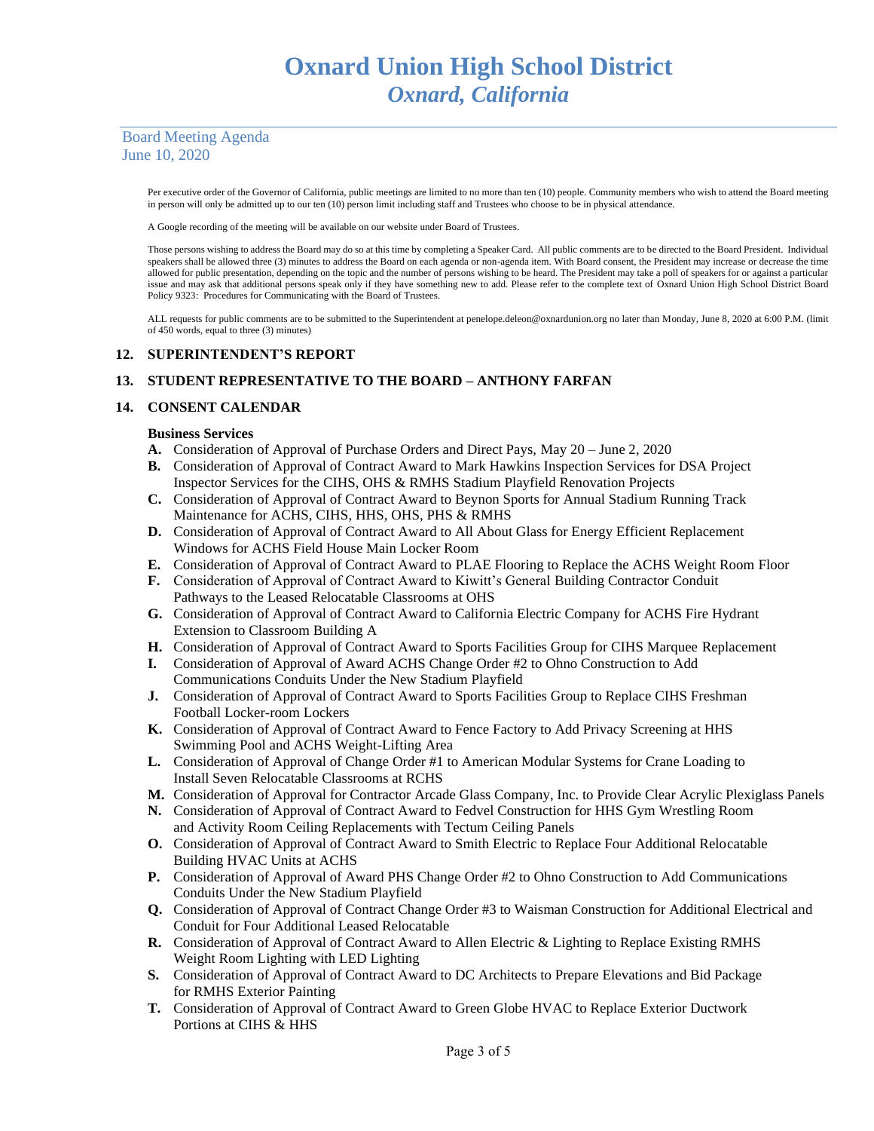> Per executive order of the Governor of California, public meetings are limited to no more than ten (10) people. Community members who wish to attend the Board meeting in person will only be admitted up to our ten (10) person limit including staff and Trustees who choose to be in physical attendance.

A Google recording of the meeting will be available on our website under Board of Trustees.

Those persons wishing to address the Board may do so at this time by completing a Speaker Card. All public comments are to be directed to the Board President. Individual speakers shall be allowed three (3) minutes to address the Board on each agenda or non-agenda item. With Board consent, the President may increase or decrease the time allowed for public presentation, depending on the topic and the number of persons wishing to be heard. The President may take a poll of speakers for or against a particular issue and may ask that additional persons speak only if they have something new to add. Please refer to the complete text of Oxnard Union High School District Board Policy 9323: Procedures for Communicating with the Board of Trustees.

ALL requests for public comments are to be submitted to the Superintendent at penelope.deleon@oxnardunion.org no later than Monday, June 8, 2020 at 6:00 P.M. (limit of 450 words, equal to three (3) minutes)

#### **12. SUPERINTENDENT'S REPORT**

## **13. STUDENT REPRESENTATIVE TO THE BOARD – ANTHONY FARFAN**

#### **14. CONSENT CALENDAR**

#### **Business Services**

- **A.** Consideration of Approval of Purchase Orders and Direct Pays, May 20 June 2, 2020
- **B.** Consideration of Approval of Contract Award to Mark Hawkins Inspection Services for DSA Project Inspector Services for the CIHS, OHS & RMHS Stadium Playfield Renovation Projects
- **C.** Consideration of Approval of Contract Award to Beynon Sports for Annual Stadium Running Track Maintenance for ACHS, CIHS, HHS, OHS, PHS & RMHS
- **D.** Consideration of Approval of Contract Award to All About Glass for Energy Efficient Replacement Windows for ACHS Field House Main Locker Room
- **E.** Consideration of Approval of Contract Award to PLAE Flooring to Replace the ACHS Weight Room Floor
- **F.** Consideration of Approval of Contract Award to Kiwitt's General Building Contractor Conduit Pathways to the Leased Relocatable Classrooms at OHS
- **G.** Consideration of Approval of Contract Award to California Electric Company for ACHS Fire Hydrant Extension to Classroom Building A
- **H.** Consideration of Approval of Contract Award to Sports Facilities Group for CIHS Marquee Replacement
- **I.** Consideration of Approval of Award ACHS Change Order #2 to Ohno Construction to Add Communications Conduits Under the New Stadium Playfield
- **J.** Consideration of Approval of Contract Award to Sports Facilities Group to Replace CIHS Freshman Football Locker-room Lockers
- **K.** Consideration of Approval of Contract Award to Fence Factory to Add Privacy Screening at HHS Swimming Pool and ACHS Weight-Lifting Area
- **L.** Consideration of Approval of Change Order #1 to American Modular Systems for Crane Loading to Install Seven Relocatable Classrooms at RCHS
- **M.** Consideration of Approval for Contractor Arcade Glass Company, Inc. to Provide Clear Acrylic Plexiglass Panels
- **N.** Consideration of Approval of Contract Award to Fedvel Construction for HHS Gym Wrestling Room and Activity Room Ceiling Replacements with Tectum Ceiling Panels
- **O.** Consideration of Approval of Contract Award to Smith Electric to Replace Four Additional Relocatable Building HVAC Units at ACHS
- **P.** Consideration of Approval of Award PHS Change Order #2 to Ohno Construction to Add Communications Conduits Under the New Stadium Playfield
- **Q.** Consideration of Approval of Contract Change Order #3 to Waisman Construction for Additional Electrical and Conduit for Four Additional Leased Relocatable
- **R.** Consideration of Approval of Contract Award to Allen Electric & Lighting to Replace Existing RMHS Weight Room Lighting with LED Lighting
- **S.** Consideration of Approval of Contract Award to DC Architects to Prepare Elevations and Bid Package for RMHS Exterior Painting
- **T.** Consideration of Approval of Contract Award to Green Globe HVAC to Replace Exterior Ductwork Portions at CIHS & HHS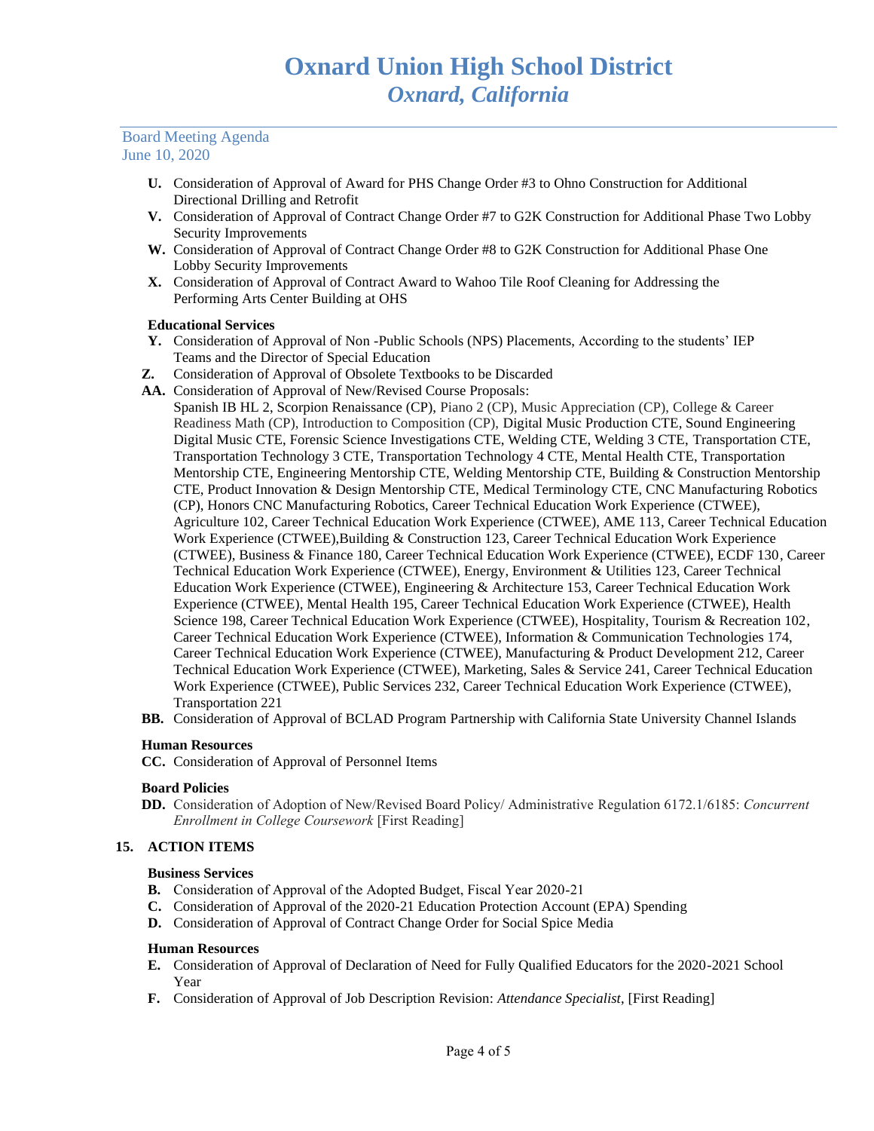- **U.** Consideration of Approval of Award for PHS Change Order #3 to Ohno Construction for Additional Directional Drilling and Retrofit
- **V.** Consideration of Approval of Contract Change Order #7 to G2K Construction for Additional Phase Two Lobby Security Improvements
- **W.** Consideration of Approval of Contract Change Order #8 to G2K Construction for Additional Phase One Lobby Security Improvements
- **X.** Consideration of Approval of Contract Award to Wahoo Tile Roof Cleaning for Addressing the Performing Arts Center Building at OHS

## **Educational Services**

- **Y.** Consideration of Approval of Non -Public Schools (NPS) Placements, According to the students' IEP Teams and the Director of Special Education
- **Z.** Consideration of Approval of Obsolete Textbooks to be Discarded
- **AA.** Consideration of Approval of New/Revised Course Proposals:

Spanish IB HL 2, Scorpion Renaissance (CP), Piano 2 (CP), Music Appreciation (CP), College & Career Readiness Math (CP), Introduction to Composition (CP), Digital Music Production CTE, Sound Engineering Digital Music CTE, Forensic Science Investigations CTE, Welding CTE, Welding 3 CTE, Transportation CTE, Transportation Technology 3 CTE, Transportation Technology 4 CTE, Mental Health CTE, Transportation Mentorship CTE, Engineering Mentorship CTE, Welding Mentorship CTE, Building & Construction Mentorship CTE, Product Innovation & Design Mentorship CTE, Medical Terminology CTE, CNC Manufacturing Robotics (CP), Honors CNC Manufacturing Robotics, Career Technical Education Work Experience (CTWEE), Agriculture 102, Career Technical Education Work Experience (CTWEE), AME 113, Career Technical Education Work Experience (CTWEE),Building & Construction 123, Career Technical Education Work Experience (CTWEE), Business & Finance 180, Career Technical Education Work Experience (CTWEE), ECDF 130, Career Technical Education Work Experience (CTWEE), Energy, Environment & Utilities 123, Career Technical Education Work Experience (CTWEE), Engineering & Architecture 153, Career Technical Education Work Experience (CTWEE), Mental Health 195, Career Technical Education Work Experience (CTWEE), Health Science 198, Career Technical Education Work Experience (CTWEE), Hospitality, Tourism & Recreation 102, Career Technical Education Work Experience (CTWEE), Information & Communication Technologies 174, Career Technical Education Work Experience (CTWEE), Manufacturing & Product Development 212, Career Technical Education Work Experience (CTWEE), Marketing, Sales & Service 241, Career Technical Education Work Experience (CTWEE), Public Services 232, Career Technical Education Work Experience (CTWEE), Transportation 221

**BB.** Consideration of Approval of BCLAD Program Partnership with California State University Channel Islands

## **Human Resources**

**CC.** Consideration of Approval of Personnel Items

## **Board Policies**

**DD.** Consideration of Adoption of New/Revised Board Policy/ Administrative Regulation 6172.1/6185: *Concurrent Enrollment in College Coursework* [First Reading]

## **15. ACTION ITEMS**

## **Business Services**

- **B.** Consideration of Approval of the Adopted Budget, Fiscal Year 2020-21
- **C.** Consideration of Approval of the 2020-21 Education Protection Account (EPA) Spending
- **D.** Consideration of Approval of Contract Change Order for Social Spice Media

## **Human Resources**

- **E.** Consideration of Approval of Declaration of Need for Fully Qualified Educators for the 2020-2021 School Year
- **F.** Consideration of Approval of Job Description Revision: *Attendance Specialist*, [First Reading]